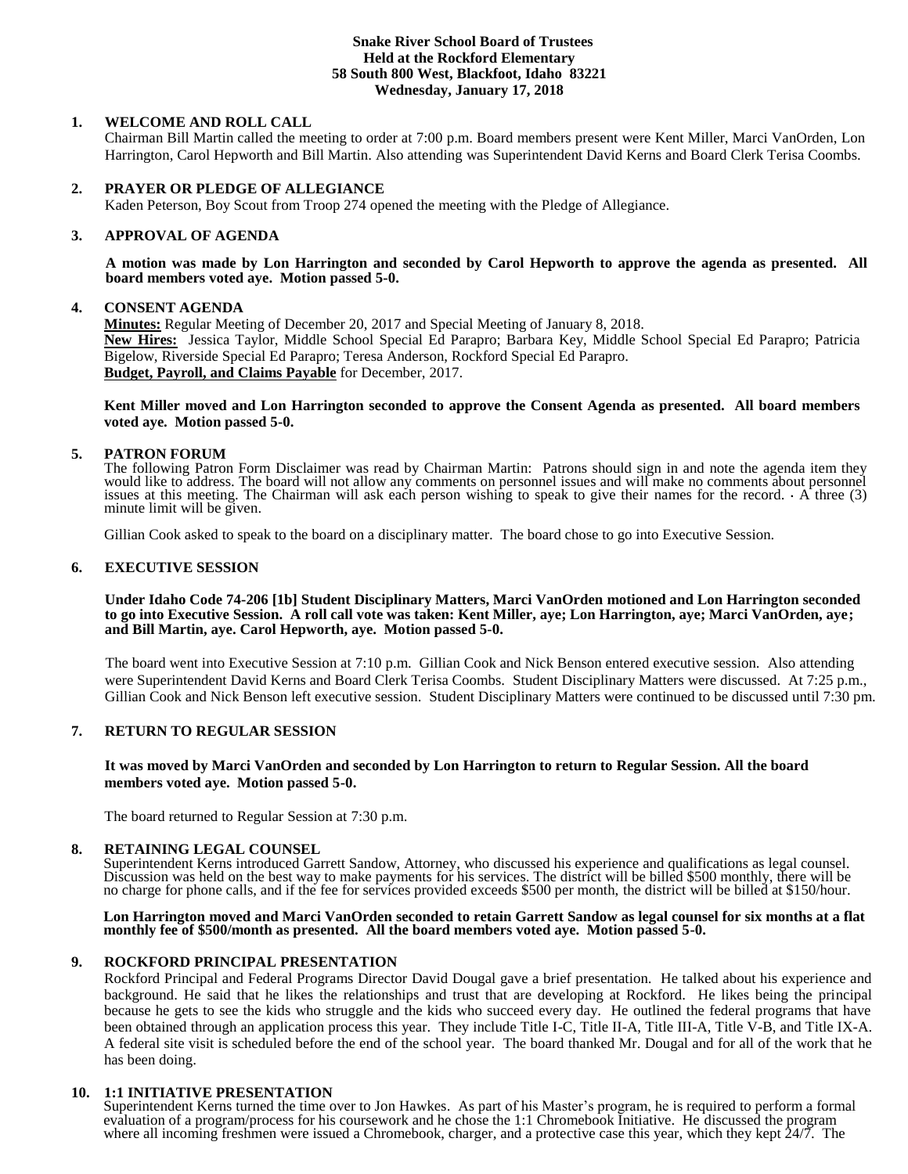#### **Snake River School Board of Trustees Held at the Rockford Elementary 58 South 800 West, Blackfoot, Idaho 83221 Wednesday, January 17, 2018**

# **1. WELCOME AND ROLL CALL**

Chairman Bill Martin called the meeting to order at 7:00 p.m. Board members present were Kent Miller, Marci VanOrden, Lon Harrington, Carol Hepworth and Bill Martin. Also attending was Superintendent David Kerns and Board Clerk Terisa Coombs.

### **2. PRAYER OR PLEDGE OF ALLEGIANCE**

Kaden Peterson, Boy Scout from Troop 274 opened the meeting with the Pledge of Allegiance.

# **3. APPROVAL OF AGENDA**

**A motion was made by Lon Harrington and seconded by Carol Hepworth to approve the agenda as presented. All board members voted aye. Motion passed 5-0.**

#### **4. CONSENT AGENDA**

**Minutes:** Regular Meeting of December 20, 2017 and Special Meeting of January 8, 2018. **New Hires:** Jessica Taylor, Middle School Special Ed Parapro; Barbara Key, Middle School Special Ed Parapro; Patricia Bigelow, Riverside Special Ed Parapro; Teresa Anderson, Rockford Special Ed Parapro. **Budget, Payroll, and Claims Payable** for December, 2017.

**Kent Miller moved and Lon Harrington seconded to approve the Consent Agenda as presented. All board members voted aye. Motion passed 5-0.**

### **5. PATRON FORUM**

The following Patron Form Disclaimer was read by Chairman Martin: Patrons should sign in and note the agenda item they would like to address. The board will not allow any comments on personnel issues and will make no comments about personnel issues at this meeting. The Chairman will ask each person wishing to speak to give their names for the record.  $\cdot$  A three (3) minute limit will be given.

Gillian Cook asked to speak to the board on a disciplinary matter. The board chose to go into Executive Session.

# **6. EXECUTIVE SESSION**

**Under Idaho Code 74-206 [1b] Student Disciplinary Matters, Marci VanOrden motioned and Lon Harrington seconded to go into Executive Session. A roll call vote was taken: Kent Miller, aye; Lon Harrington, aye; Marci VanOrden, aye; and Bill Martin, aye. Carol Hepworth, aye. Motion passed 5-0.** 

The board went into Executive Session at 7:10 p.m. Gillian Cook and Nick Benson entered executive session. Also attending were Superintendent David Kerns and Board Clerk Terisa Coombs. Student Disciplinary Matters were discussed. At 7:25 p.m., Gillian Cook and Nick Benson left executive session. Student Disciplinary Matters were continued to be discussed until 7:30 pm.

### **7. RETURN TO REGULAR SESSION**

#### **It was moved by Marci VanOrden and seconded by Lon Harrington to return to Regular Session. All the board members voted aye. Motion passed 5-0.**

The board returned to Regular Session at 7:30 p.m.

#### **8. RETAINING LEGAL COUNSEL**

Superintendent Kerns introduced Garrett Sandow, Attorney, who discussed his experience and qualifications as legal counsel. Discussion was held on the best way to make payments for his services. The district will be billed \$500 monthly, there will be no charge for phone calls, and if the fee for services provided exceeds \$500 per month, the district will be billed at \$150/hour.

#### **Lon Harrington moved and Marci VanOrden seconded to retain Garrett Sandow as legal counsel for six months at a flat monthly fee of \$500/month as presented. All the board members voted aye. Motion passed 5-0.**

#### **9. ROCKFORD PRINCIPAL PRESENTATION**

Rockford Principal and Federal Programs Director David Dougal gave a brief presentation. He talked about his experience and background. He said that he likes the relationships and trust that are developing at Rockford. He likes being the principal because he gets to see the kids who struggle and the kids who succeed every day. He outlined the federal programs that have been obtained through an application process this year. They include Title I-C, Title II-A, Title II-A, Title V-B, and Title IX-A. A federal site visit is scheduled before the end of the school year. The board thanked Mr. Dougal and for all of the work that he has been doing.

#### **10. 1:1 INITIATIVE PRESENTATION**

Superintendent Kerns turned the time over to Jon Hawkes. As part of his Master's program, he is required to perform a formal evaluation of a program/process for his coursework and he chose the 1:1 Chromebook Initiative. He discussed the program where all incoming freshmen were issued a Chromebook, charger, and a protective case this year, which they kept  $24/7$ . The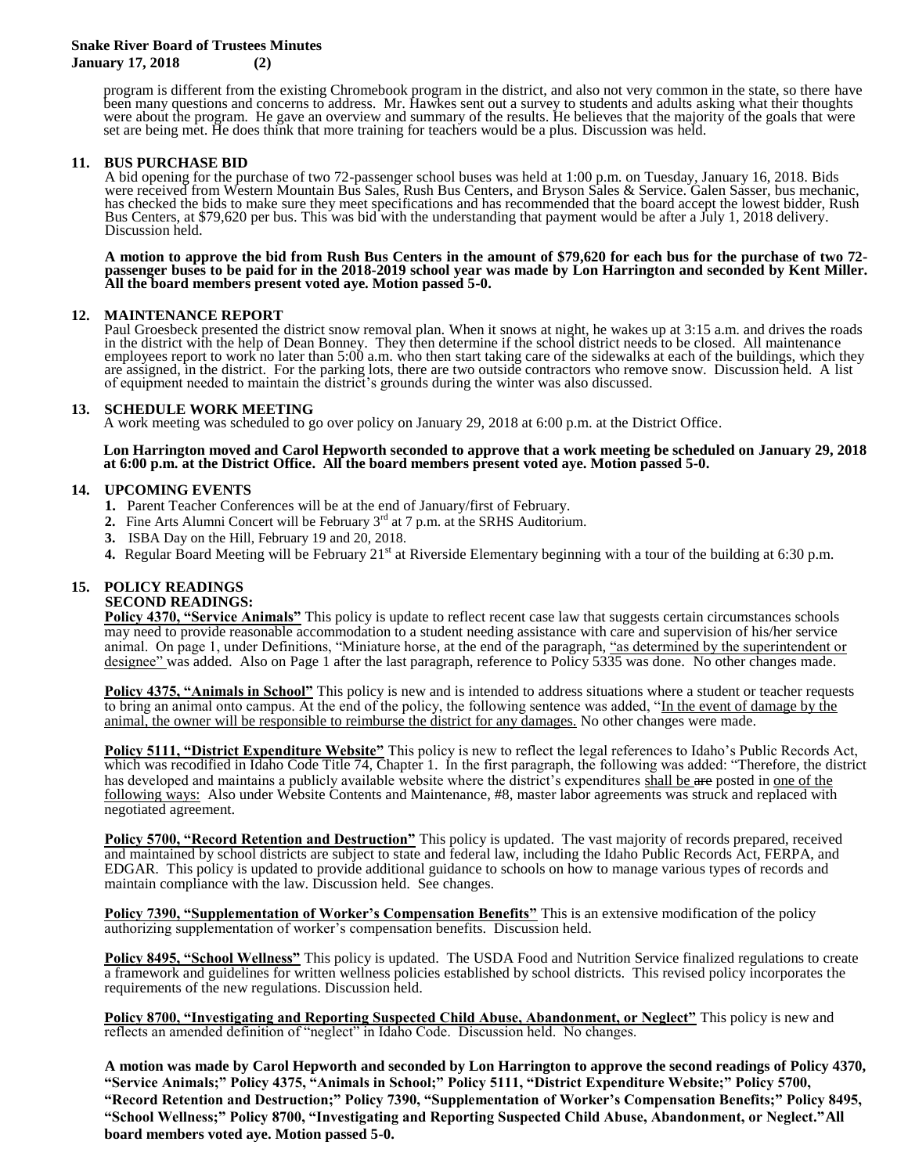### **Snake River Board of Trustees Minutes January 17, 2018 (2)**

program is different from the existing Chromebook program in the district, and also not very common in the state, so there have been many questions and concerns to address. Mr. Hawkes sent out a survey to students and adults asking what their thoughts were about the program. He gave an overview and summary of the results. He believes that the majority of the goals that were set are being met. He does think that more training for teachers would be a plus. Discussion was held.

### **11. BUS PURCHASE BID**

A bid opening for the purchase of two 72-passenger school buses was held at 1:00 p.m. on Tuesday, January 16, 2018. Bids were received from Western Mountain Bus Sales, Rush Bus Centers, and Bryson Sales & Service. Galen Sasser, bus mechanic, has checked the bids to make sure they meet specifications and has recommended that the board accept the lowest bidder, Rush Bus Centers, at \$79,620 per bus. This was bid with the understanding that payment would be after a July 1, 2018 delivery. Discussion held.

**A motion to approve the bid from Rush Bus Centers in the amount of \$79,620 for each bus for the purchase of two 72 passenger buses to be paid for in the 2018-2019 school year was made by Lon Harrington and seconded by Kent Miller. All the board members present voted aye. Motion passed 5-0.**

# **12. MAINTENANCE REPORT**

Paul Groesbeck presented the district snow removal plan. When it snows at night, he wakes up at 3:15 a.m. and drives the roads in the district with the help of Dean Bonney. They then determine if the school district needs to be closed. All maintenance employees report to work no later than 5:00 a.m. who then start taking care of the sidewalks at each of the buildings, which they are assigned, in the district. For the parking lots, there are two outside contractors who remove snow. Discussion held. A list of equipment needed to maintain the district's grounds during the winter was also discussed.

#### **13. SCHEDULE WORK MEETING**

A work meeting was scheduled to go over policy on January 29, 2018 at 6:00 p.m. at the District Office.

**Lon Harrington moved and Carol Hepworth seconded to approve that a work meeting be scheduled on January 29, 2018 at 6:00 p.m. at the District Office. All the board members present voted aye. Motion passed 5-0.**

# **14. UPCOMING EVENTS**

- **1.** Parent Teacher Conferences will be at the end of January/first of February.
- **2.** Fine Arts Alumni Concert will be February 3<sup>rd</sup> at 7 p.m. at the SRHS Auditorium.
- **3.** ISBA Day on the Hill, February 19 and 20, 2018.
- 4. Regular Board Meeting will be February 21<sup>st</sup> at Riverside Elementary beginning with a tour of the building at 6:30 p.m.

# **15. POLICY READINGS**

#### **SECOND READINGS:**

**Policy 4370, "Service Animals"** This policy is update to reflect recent case law that suggests certain circumstances schools may need to provide reasonable accommodation to a student needing assistance with care and supervision of his/her service animal. On page 1, under Definitions, "Miniature horse, at the end of the paragraph, "as determined by the superintendent or designee" was added. Also on Page 1 after the last paragraph, reference to Policy 5335 was done. No other changes made.

**Policy 4375, "Animals in School"** This policy is new and is intended to address situations where a student or teacher requests to bring an animal onto campus. At the end of the policy, the following sentence was added, "In the event of damage by the animal, the owner will be responsible to reimburse the district for any damages. No other changes were made.

**Policy 5111, "District Expenditure Website"** This policy is new to reflect the legal references to Idaho's Public Records Act, which was recodified in Idaho Code Title 74, Chapter 1. In the first paragraph, the following was added: "Therefore, the district has developed and maintains a publicly available website where the district's expenditures shall be are posted in one of the following ways: Also under Website Contents and Maintenance, #8, master labor agreements was struck and replaced with negotiated agreement.

**Policy 5700, "Record Retention and Destruction"** This policy is updated. The vast majority of records prepared, received and maintained by school districts are subject to state and federal law, including the Idaho Public Records Act, FERPA, and EDGAR. This policy is updated to provide additional guidance to schools on how to manage various types of records and maintain compliance with the law. Discussion held. See changes.

**Policy 7390, "Supplementation of Worker's Compensation Benefits"** This is an extensive modification of the policy authorizing supplementation of worker's compensation benefits. Discussion held.

**Policy 8495, "School Wellness"** This policy is updated. The USDA Food and Nutrition Service finalized regulations to create a framework and guidelines for written wellness policies established by school districts. This revised policy incorporates the requirements of the new regulations. Discussion held.

**Policy 8700, "Investigating and Reporting Suspected Child Abuse, Abandonment, or Neglect"** This policy is new and reflects an amended definition of "neglect" in Idaho Code. Discussion held. No changes.

**A motion was made by Carol Hepworth and seconded by Lon Harrington to approve the second readings of Policy 4370, "Service Animals;" Policy 4375, "Animals in School;" Policy 5111, "District Expenditure Website;" Policy 5700, "Record Retention and Destruction;" Policy 7390, "Supplementation of Worker's Compensation Benefits;" Policy 8495, "School Wellness;" Policy 8700, "Investigating and Reporting Suspected Child Abuse, Abandonment, or Neglect."All board members voted aye. Motion passed 5-0.**